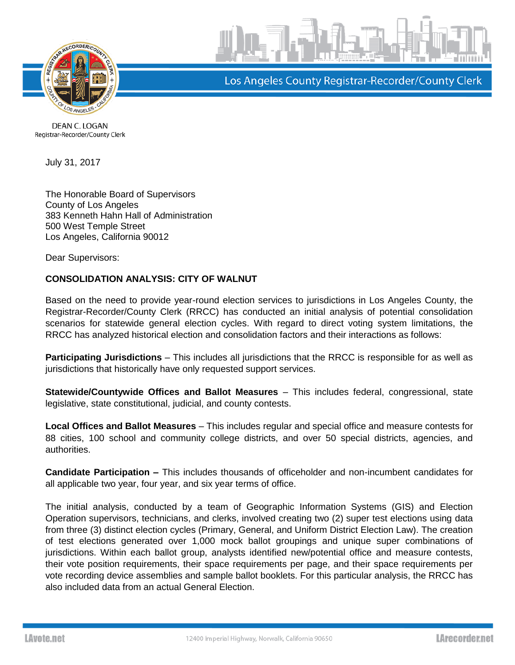



Los Angeles County Registrar-Recorder/County Clerk

DEAN C. LOGAN Registrar-Recorder/County Clerk

July 31, 2017

The Honorable Board of Supervisors County of Los Angeles 383 Kenneth Hahn Hall of Administration 500 West Temple Street Los Angeles, California 90012

Dear Supervisors:

## **CONSOLIDATION ANALYSIS: CITY OF WALNUT**

Based on the need to provide year-round election services to jurisdictions in Los Angeles County, the Registrar-Recorder/County Clerk (RRCC) has conducted an initial analysis of potential consolidation scenarios for statewide general election cycles. With regard to direct voting system limitations, the RRCC has analyzed historical election and consolidation factors and their interactions as follows:

**Participating Jurisdictions** – This includes all jurisdictions that the RRCC is responsible for as well as jurisdictions that historically have only requested support services.

**Statewide/Countywide Offices and Ballot Measures** – This includes federal, congressional, state legislative, state constitutional, judicial, and county contests.

**Local Offices and Ballot Measures** – This includes regular and special office and measure contests for 88 cities, 100 school and community college districts, and over 50 special districts, agencies, and authorities.

**Candidate Participation –** This includes thousands of officeholder and non-incumbent candidates for all applicable two year, four year, and six year terms of office.

The initial analysis, conducted by a team of Geographic Information Systems (GIS) and Election Operation supervisors, technicians, and clerks, involved creating two (2) super test elections using data from three (3) distinct election cycles (Primary, General, and Uniform District Election Law). The creation of test elections generated over 1,000 mock ballot groupings and unique super combinations of jurisdictions. Within each ballot group, analysts identified new/potential office and measure contests, their vote position requirements, their space requirements per page, and their space requirements per vote recording device assemblies and sample ballot booklets. For this particular analysis, the RRCC has also included data from an actual General Election.